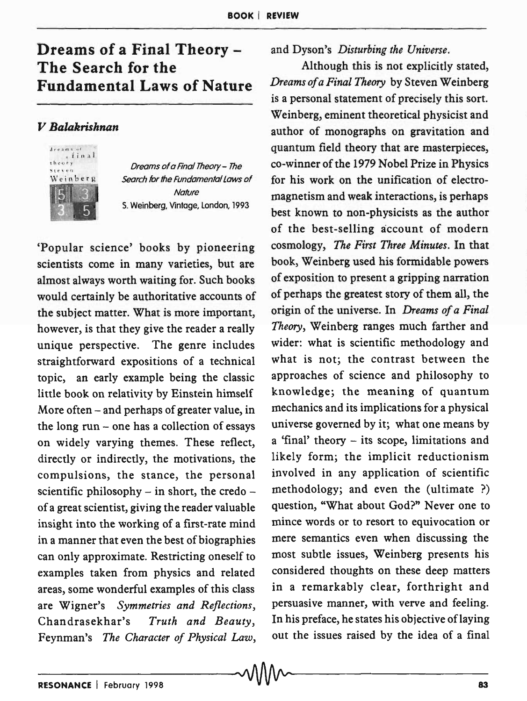## Dreams of a Final Theory - The Search for the Fundamental Laws of Nature

## *V Balakrishnan*



Dreams ofa Final Theory - The Search for the Fundamental Laws of **Nature** S. Weinberg. Vintage. london. 1993

'Popular science' books by pioneering scientists come in many varieties, but are almost always worth waiting for. Such books would certainly be authoritative accounts of the subject matter. What is more important, however, is that they give the reader a really unique perspective. The genre includes straightforward expositions of a technical topic, an early example being the classic little book on relativity by Einstein himself More often - and perhaps of greater value, in the long  $run$  – one has a collection of essays on widely varying themes. These reflect, directly or indirectly, the motivations, the compulsions, the stance, the personal scientific philosophy  $-$  in short, the credo  $$ of a great scientist, giving the reader valuable insight into the working of a first-rate mind in a manner that even the best of biographies can only approximate. Restricting oneself to examples taken from physics and related areas, some wonderful examples of this class are Wigner's *Symmetries and Reflections,*  Chandrasekhar's *Truth and Beauty,*  Feynman's *The Character of Physical Law*, out the issues raised by the idea of a final<br>  $\sqrt{MN}$ 

and Dyson's *Disturbing the Universe.* 

Although this is not explicitly stated, *DreamsofaFinal Theory* by Steven Weinberg is a personal statement of precisely this sort. Weinberg, eminent theoretical physicist and author of monographs on gravitation and quantum field theory that are masterpieces, co-winner of the 1979 Nobel Prize in Physics for his work on the unification of electromagnetism and weak interactions, is perhaps best known to non-physicists as the author of the best-selling account of modern cosmology, *The First Three Minutes.* In that book, Weinberg used his formidable powers of exposition to present a gripping narration of perhaps the greatest story of them all, the origin of the universe. In *Dreams of a Final Theory,* Weinberg ranges much farther and wider: what is scientific methodology and what is not; the contrast between the approaches of science and philosophy to knowledge; the meaning of quantum mechanics and its implications for a physical universe governed by it; what one means by a 'final' theory - its scope, limitations and likely form; the implicit reductionism involved in any application of scientific methodology; and even the (ultimate ?) question, "What about God?" Never one to mince words or to resort to equivocation or mere semantics even when discussing the most subtle issues, Weinberg presents his considered thoughts on these deep matters in a remarkably clear, forthright and persuasive manner, with verve and feeling. In his preface, he states his objective of laying out the issues raised by the idea of a final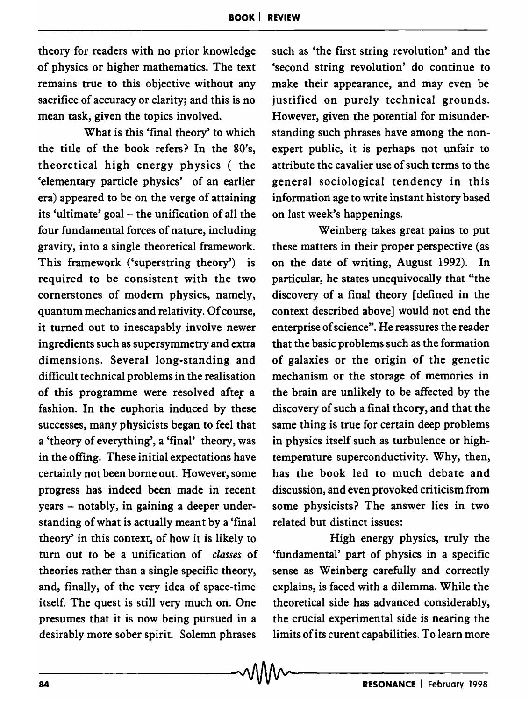theory for readers with no prior knowledge of physics or higher mathematics. The text remains true to this objective without any sacrifice of accuracy or clarity; and this is no mean task, given the topics involved.

What is this 'final theory' to which the title of the book refers? In the 80's, theoretical high energy physics ( the 'elementary particle physics' of an earlier era) appeared to be on the verge of attaining its 'ultimate' goal - the unification of all the four fundamental forces of nature, including gravity, into a single theoretical framework. This framework ('superstring theory') is required to be consistent with the two cornerstones of modern physics, namely, quantum mechanics and relativity. Of course, it turned out to inescapably involve newer ingredients such as supersymmetry and extra dimensions. Several long-standing and difficult technical problems in the realisation of this programme were resolved after a fashion. In the euphoria induced by these successes, many physicists began to feel that a 'theory of everything', a 'final' theory, was in the offing. These initial expectations have certainly not been borne out. However, some progress has indeed been made in recent years - notably, in gaining a deeper understanding of what is actually meant by a 'final theory' in this context, of how it is likely to tum out to be a unification of *classes* of theories rather than a single specific theory, and, finally, of the very idea of space-time itself. The quest is still very much on. One presumes that it is now being pursued in a desirably more sober spirit. Solemn phrases

such as 'the first string revolution' and the 'second string revolution' do continue to make their appearance, and may even be justified on purely technical grounds. However, given the potential for misunderstanding such phrases have among the nonexpert public, it is perhaps not unfair to attribute the cavalier use of such terms to the general sociological tendency in this information age to write instant history based on last week's happenings.

Weinberg takes great pains to put these matters in their proper perspective (as on the date of writing, August 1992). In particular, he states unequivocally that "the discovery of a final theory [defined in the context described above] would not end the enterprise of science". He reassures the reader that the basic problems such as the formation of galaxies or the origin of the genetic mechanism or the storage of memories in the brain are unlikely to be affected by the discovery of such a final theory, and that the same thing is true for certain deep problems in physics itself such as turbulence or hightemperature superconductivity. Why, then, has the book led to much debate and discussion, and even provoked criticism from some physicists? The answer lies in two related but distinct issues:

High energy physics, truly the 'fundamental' part of physics in a specific sense as Weinberg carefully and correctly explains, is faced with a dilemma. While the theoretical side has advanced considerably, the crucial experimental side is nearing the limits of its curent capabilities. To learn more